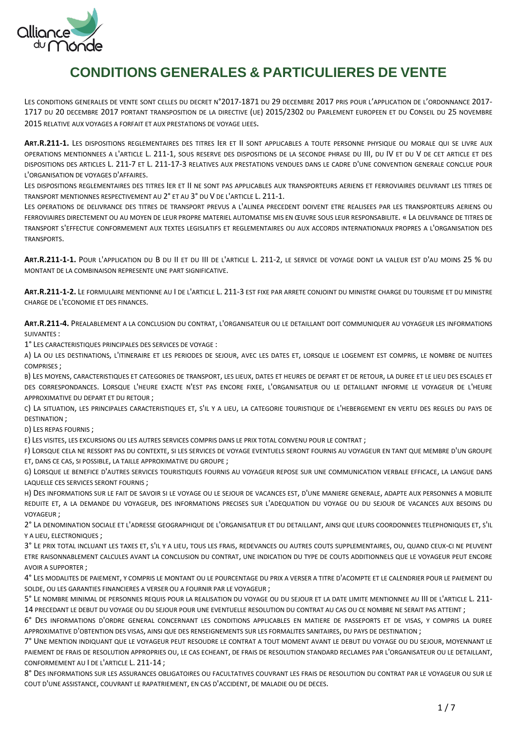

# **CONDITIONS GENERALES & PARTICULIERES DE VENTE**

LES CONDITIONS GENERALES DE VENTE SONT CELLES DU DECRET N°2017-1871 DU 29 DECEMBRE 2017 PRIS POUR L'APPLICATION DE L'ORDONNANCE 2017-1717 DU 20 DECEMBRE 2017 PORTANT TRANSPOSITION DE LA DIRECTIVE (UE) 2015/2302 DU PARLEMENT EUROPEEN ET DU CONSEIL DU 25 NOVEMBRE 2015 RELATIVE AUX VOYAGES A FORFAIT ET AUX PRESTATIONS DE VOYAGE LIEES.

**ART.R.211-1.** LES DISPOSITIONS REGLEMENTAIRES DES TITRES IER ET II SONT APPLICABLES A TOUTE PERSONNE PHYSIQUE OU MORALE QUI SE LIVRE AUX OPERATIONS MENTIONNEES A L'ARTICLE L. 211-1, SOUS RESERVE DES DISPOSITIONS DE LA SECONDE PHRASE DU III, DU IV ET DU V DE CET ARTICLE ET DES DISPOSITIONS DES ARTICLES L. 211-7 ET L. 211-17-3 RELATIVES AUX PRESTATIONS VENDUES DANS LE CADRE D'UNE CONVENTION GENERALE CONCLUE POUR L'ORGANISATION DE VOYAGES D'AFFAIRES.

LES DISPOSITIONS REGLEMENTAIRES DES TITRES IER ET II NE SONT PAS APPLICABLES AUX TRANSPORTEURS AERIENS ET FERROVIAIRES DELIVRANT LES TITRES DE TRANSPORT MENTIONNES RESPECTIVEMENT AU 2° ET AU 3° DU V DE L'ARTICLE L. 211-1.

LES OPERATIONS DE DELIVRANCE DES TITRES DE TRANSPORT PREVUS A L'ALINEA PRECEDENT DOIVENT ETRE REALISEES PAR LES TRANSPORTEURS AERIENS OU FERROVIAIRES DIRECTEMENT OU AU MOYEN DE LEUR PROPRE MATERIEL AUTOMATISE MIS EN ŒUVRE SOUS LEUR RESPONSABILITE. « LA DELIVRANCE DE TITRES DE TRANSPORT S'EFFECTUE CONFORMEMENT AUX TEXTES LEGISLATIFS ET REGLEMENTAIRES OU AUX ACCORDS INTERNATIONAUX PROPRES A L'ORGANISATION DES TRANSPORTS.

**ART.R.211-1-1.** POUR L'APPLICATION DU B DU II ET DU III DE L'ARTICLE L. 211-2, LE SERVICE DE VOYAGE DONT LA VALEUR EST D'AU MOINS 25 % DU MONTANT DE LA COMBINAISON REPRESENTE UNE PART SIGNIFICATIVE.

**ART.R.211-1-2.** LE FORMULAIRE MENTIONNE AU I DE L'ARTICLE L. 211-3 EST FIXE PAR ARRETE CONJOINT DU MINISTRE CHARGE DU TOURISME ET DU MINISTRE CHARGE DE L'ECONOMIE ET DES FINANCES.

**ART.R.211-4.** PREALABLEMENT A LA CONCLUSION DU CONTRAT, L'ORGANISATEUR OU LE DETAILLANT DOIT COMMUNIQUER AU VOYAGEUR LES INFORMATIONS SUIVANTES :

1° LES CARACTERISTIQUES PRINCIPALES DES SERVICES DE VOYAGE :

A) LA OU LES DESTINATIONS, L'ITINERAIRE ET LES PERIODES DE SEJOUR, AVEC LES DATES ET, LORSQUE LE LOGEMENT EST COMPRIS, LE NOMBRE DE NUITEES COMPRISES ;

B) LES MOYENS, CARACTERISTIQUES ET CATEGORIES DE TRANSPORT, LES LIEUX, DATES ET HEURES DE DEPART ET DE RETOUR, LA DUREE ET LE LIEU DES ESCALES ET DES CORRESPONDANCES. LORSQUE L'HEURE EXACTE N'EST PAS ENCORE FIXEE, L'ORGANISATEUR OU LE DETAILLANT INFORME LE VOYAGEUR DE L'HEURE APPROXIMATIVE DU DEPART ET DU RETOUR ;

C) LA SITUATION, LES PRINCIPALES CARACTERISTIQUES ET, S'IL Y A LIEU, LA CATEGORIE TOURISTIQUE DE L'HEBERGEMENT EN VERTU DES REGLES DU PAYS DE DESTINATION ;

D) LES REPAS FOURNIS ;

E) LES VISITES, LES EXCURSIONS OU LES AUTRES SERVICES COMPRIS DANS LE PRIX TOTAL CONVENU POUR LE CONTRAT ;

F) LORSQUE CELA NE RESSORT PAS DU CONTEXTE, SI LES SERVICES DE VOYAGE EVENTUELS SERONT FOURNIS AU VOYAGEUR EN TANT QUE MEMBRE D'UN GROUPE ET, DANS CE CAS, SI POSSIBLE, LA TAILLE APPROXIMATIVE DU GROUPE ;

G) LORSQUE LE BENEFICE D'AUTRES SERVICES TOURISTIQUES FOURNIS AU VOYAGEUR REPOSE SUR UNE COMMUNICATION VERBALE EFFICACE, LA LANGUE DANS LAQUELLE CES SERVICES SERONT FOURNIS ;

H) DES INFORMATIONS SUR LE FAIT DE SAVOIR SI LE VOYAGE OU LE SEJOUR DE VACANCES EST, D'UNE MANIERE GENERALE, ADAPTE AUX PERSONNES A MOBILITE REDUITE ET, A LA DEMANDE DU VOYAGEUR, DES INFORMATIONS PRECISES SUR L'ADEQUATION DU VOYAGE OU DU SEJOUR DE VACANCES AUX BESOINS DU VOYAGEUR ;

2° LA DENOMINATION SOCIALE ET L'ADRESSE GEOGRAPHIQUE DE L'ORGANISATEUR ET DU DETAILLANT, AINSI QUE LEURS COORDONNEES TELEPHONIQUES ET, S'IL Y A LIEU, ELECTRONIQUES ;

3° LE PRIX TOTAL INCLUANT LES TAXES ET, S'IL Y A LIEU, TOUS LES FRAIS, REDEVANCES OU AUTRES COUTS SUPPLEMENTAIRES, OU, QUAND CEUX-CI NE PEUVENT ETRE RAISONNABLEMENT CALCULES AVANT LA CONCLUSION DU CONTRAT, UNE INDICATION DU TYPE DE COUTS ADDITIONNELS QUE LE VOYAGEUR PEUT ENCORE AVOIR A SUPPORTER ;

4° LES MODALITES DE PAIEMENT, Y COMPRIS LE MONTANT OU LE POURCENTAGE DU PRIX A VERSER A TITRE D'ACOMPTE ET LE CALENDRIER POUR LE PAIEMENT DU SOLDE, OU LES GARANTIES FINANCIERES A VERSER OU A FOURNIR PAR LE VOYAGEUR ;

5° LE NOMBRE MINIMAL DE PERSONNES REQUIS POUR LA REALISATION DU VOYAGE OU DU SEJOUR ET LA DATE LIMITE MENTIONNEE AU III DE L'ARTICLE L. 211- 14 PRECEDANT LE DEBUT DU VOYAGE OU DU SEJOUR POUR UNE EVENTUELLE RESOLUTION DU CONTRAT AU CAS OU CE NOMBRE NE SERAIT PAS ATTEINT ;

6° DES INFORMATIONS D'ORDRE GENERAL CONCERNANT LES CONDITIONS APPLICABLES EN MATIERE DE PASSEPORTS ET DE VISAS, Y COMPRIS LA DUREE APPROXIMATIVE D'OBTENTION DES VISAS, AINSI QUE DES RENSEIGNEMENTS SUR LES FORMALITES SANITAIRES, DU PAYS DE DESTINATION ;

7° UNE MENTION INDIQUANT QUE LE VOYAGEUR PEUT RESOUDRE LE CONTRAT A TOUT MOMENT AVANT LE DEBUT DU VOYAGE OU DU SEJOUR, MOYENNANT LE PAIEMENT DE FRAIS DE RESOLUTION APPROPRIES OU, LE CAS ECHEANT, DE FRAIS DE RESOLUTION STANDARD RECLAMES PAR L'ORGANISATEUR OU LE DETAILLANT, CONFORMEMENT AU I DE L'ARTICLE L. 211-14 ;

8° DES INFORMATIONS SUR LES ASSURANCES OBLIGATOIRES OU FACULTATIVES COUVRANT LES FRAIS DE RESOLUTION DU CONTRAT PAR LE VOYAGEUR OU SUR LE COUT D'UNE ASSISTANCE, COUVRANT LE RAPATRIEMENT, EN CAS D'ACCIDENT, DE MALADIE OU DE DECES.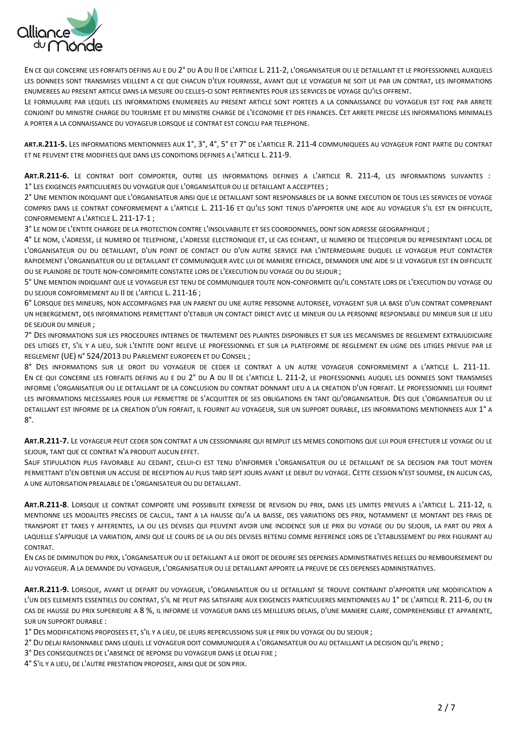

EN CE QUI CONCERNE LES FORFAITS DEFINIS AU E DU 2° DU A DU II DE L'ARTICLE L. 211-2, L'ORGANISATEUR OU LE DETAILLANT ET LE PROFESSIONNEL AUXQUELS LES DONNEES SONT TRANSMISES VEILLENT A CE QUE CHACUN D'EUX FOURNISSE, AVANT QUE LE VOYAGEUR NE SOIT LIE PAR UN CONTRAT, LES INFORMATIONS ENUMEREES AU PRESENT ARTICLE DANS LA MESURE OU CELLES-CI SONT PERTINENTES POUR LES SERVICES DE VOYAGE QU'ILS OFFRENT.

LE FORMULAIRE PAR LEQUEL LES INFORMATIONS ENUMEREES AU PRESENT ARTICLE SONT PORTEES A LA CONNAISSANCE DU VOYAGEUR EST FIXE PAR ARRETE CONJOINT DU MINISTRE CHARGE DU TOURISME ET DU MINISTRE CHARGE DE L'ECONOMIE ET DES FINANCES. CET ARRETE PRECISE LES INFORMATIONS MINIMALES A PORTER A LA CONNAISSANCE DU VOYAGEUR LORSQUE LE CONTRAT EST CONCLU PAR TELEPHONE.

**ART.R.211-5.** LES INFORMATIONS MENTIONNEES AUX 1°, 3°, 4°, 5° ET 7° DE L'ARTICLE R. 211-4 COMMUNIQUEES AU VOYAGEUR FONT PARTIE DU CONTRAT ET NE PEUVENT ETRE MODIFIEES QUE DANS LES CONDITIONS DEFINIES A L'ARTICLE L. 211-9.

**ART.R.211-6.** LE CONTRAT DOIT COMPORTER, OUTRE LES INFORMATIONS DEFINIES A L'ARTICLE R. 211-4, LES INFORMATIONS SUIVANTES : 1° LES EXIGENCES PARTICULIERES DU VOYAGEUR QUE L'ORGANISATEUR OU LE DETAILLANT A ACCEPTEES ;

2° UNE MENTION INDIQUANT QUE L'ORGANISATEUR AINSI QUE LE DETAILLANT SONT RESPONSABLES DE LA BONNE EXECUTION DE TOUS LES SERVICES DE VOYAGE COMPRIS DANS LE CONTRAT CONFORMEMENT A L'ARTICLE L. 211-16 ET QU'ILS SONT TENUS D'APPORTER UNE AIDE AU VOYAGEUR S'IL EST EN DIFFICULTE, CONFORMEMENT A L'ARTICLE L. 211-17-1 ;

3° LE NOM DE L'ENTITE CHARGEE DE LA PROTECTION CONTRE L'INSOLVABILITE ET SES COORDONNEES, DONT SON ADRESSE GEOGRAPHIQUE ;

4° LE NOM, L'ADRESSE, LE NUMERO DE TELEPHONE, L'ADRESSE ELECTRONIQUE ET, LE CAS ECHEANT, LE NUMERO DE TELECOPIEUR DU REPRESENTANT LOCAL DE L'ORGANISATEUR OU DU DETAILLANT, D'UN POINT DE CONTACT OU D'UN AUTRE SERVICE PAR L'INTERMEDIAIRE DUQUEL LE VOYAGEUR PEUT CONTACTER RAPIDEMENT L'ORGANISATEUR OU LE DETAILLANT ET COMMUNIQUER AVEC LUI DE MANIERE EFFICACE, DEMANDER UNE AIDE SI LE VOYAGEUR EST EN DIFFICULTE OU SE PLAINDRE DE TOUTE NON-CONFORMITE CONSTATEE LORS DE L'EXECUTION DU VOYAGE OU DU SEJOUR ;

5° UNE MENTION INDIQUANT QUE LE VOYAGEUR EST TENU DE COMMUNIQUER TOUTE NON-CONFORMITE QU'IL CONSTATE LORS DE L'EXECUTION DU VOYAGE OU DU SEJOUR CONFORMEMENT AU II DE L'ARTICLE L. 211-16 ;

6° LORSQUE DES MINEURS, NON ACCOMPAGNES PAR UN PARENT OU UNE AUTRE PERSONNE AUTORISEE, VOYAGENT SUR LA BASE D'UN CONTRAT COMPRENANT UN HEBERGEMENT, DES INFORMATIONS PERMETTANT D'ETABLIR UN CONTACT DIRECT AVEC LE MINEUR OU LA PERSONNE RESPONSABLE DU MINEUR SUR LE LIEU DE SEJOUR DU MINEUR ;

7° DES INFORMATIONS SUR LES PROCEDURES INTERNES DE TRAITEMENT DES PLAINTES DISPONIBLES ET SUR LES MECANISMES DE REGLEMENT EXTRAJUDICIAIRE DES LITIGES ET, S'IL Y A LIEU, SUR L'ENTITE DONT RELEVE LE PROFESSIONNEL ET SUR LA PLATEFORME DE REGLEMENT EN LIGNE DES LITIGES PREVUE PAR LE REGLEMENT (UE) N° 524/2013 DU PARLEMENT EUROPEEN ET DU CONSEIL ;

8° DES INFORMATIONS SUR LE DROIT DU VOYAGEUR DE CEDER LE CONTRAT A UN AUTRE VOYAGEUR CONFORMEMENT A L'ARTICLE L. 211-11. EN CE QUI CONCERNE LES FORFAITS DEFINIS AU E DU 2° DU A DU II DE L'ARTICLE L. 211-2, LE PROFESSIONNEL AUQUEL LES DONNEES SONT TRANSMISES INFORME L'ORGANISATEUR OU LE DETAILLANT DE LA CONCLUSION DU CONTRAT DONNANT LIEU A LA CREATION D'UN FORFAIT. LE PROFESSIONNEL LUI FOURNIT LES INFORMATIONS NECESSAIRES POUR LUI PERMETTRE DE S'ACQUITTER DE SES OBLIGATIONS EN TANT QU'ORGANISATEUR. DES QUE L'ORGANISATEUR OU LE DETAILLANT EST INFORME DE LA CREATION D'UN FORFAIT, IL FOURNIT AU VOYAGEUR, SUR UN SUPPORT DURABLE, LES INFORMATIONS MENTIONNEES AUX 1° A 8°.

**ART.R.211-7.** LE VOYAGEUR PEUT CEDER SON CONTRAT A UN CESSIONNAIRE QUI REMPLIT LES MEMES CONDITIONS QUE LUI POUR EFFECTUER LE VOYAGE OU LE SEJOUR, TANT QUE CE CONTRAT N'A PRODUIT AUCUN EFFET.

SAUF STIPULATION PLUS FAVORABLE AU CEDANT, CELUI-CI EST TENU D'INFORMER L'ORGANISATEUR OU LE DETAILLANT DE SA DECISION PAR TOUT MOYEN PERMETTANT D'EN OBTENIR UN ACCUSE DE RECEPTION AU PLUS TARD SEPT JOURS AVANT LE DEBUT DU VOYAGE. CETTE CESSION N'EST SOUMISE, EN AUCUN CAS, A UNE AUTORISATION PREALABLE DE L'ORGANISATEUR OU DU DETAILLANT.

**ART.R.211-8**. LORSQUE LE CONTRAT COMPORTE UNE POSSIBILITE EXPRESSE DE REVISION DU PRIX, DANS LES LIMITES PREVUES A L'ARTICLE L. 211-12, IL MENTIONNE LES MODALITES PRECISES DE CALCUL, TANT A LA HAUSSE QU'A LA BAISSE, DES VARIATIONS DES PRIX, NOTAMMENT LE MONTANT DES FRAIS DE TRANSPORT ET TAXES Y AFFERENTES, LA OU LES DEVISES QUI PEUVENT AVOIR UNE INCIDENCE SUR LE PRIX DU VOYAGE OU DU SEJOUR, LA PART DU PRIX A LAQUELLE S'APPLIQUE LA VARIATION, AINSI QUE LE COURS DE LA OU DES DEVISES RETENU COMME REFERENCE LORS DE L'ETABLISSEMENT DU PRIX FIGURANT AU CONTRAT.

EN CAS DE DIMINUTION DU PRIX, L'ORGANISATEUR OU LE DETAILLANT A LE DROIT DE DEDUIRE SES DEPENSES ADMINISTRATIVES REELLES DU REMBOURSEMENT DU AU VOYAGEUR. A LA DEMANDE DU VOYAGEUR, L'ORGANISATEUR OU LE DETAILLANT APPORTE LA PREUVE DE CES DEPENSES ADMINISTRATIVES.

**ART.R.211-9.** LORSQUE, AVANT LE DEPART DU VOYAGEUR, L'ORGANISATEUR OU LE DETAILLANT SE TROUVE CONTRAINT D'APPORTER UNE MODIFICATION A L'UN DES ELEMENTS ESSENTIELS DU CONTRAT, S'IL NE PEUT PAS SATISFAIRE AUX EXIGENCES PARTICULIERES MENTIONNEES AU 1° DE L'ARTICLE R. 211-6, OU EN CAS DE HAUSSE DU PRIX SUPERIEURE A 8 %, IL INFORME LE VOYAGEUR DANS LES MEILLEURS DELAIS, D'UNE MANIERE CLAIRE, COMPREHENSIBLE ET APPARENTE, SUR UN SUPPORT DURABLE :

1° DES MODIFICATIONS PROPOSEES ET, S'IL Y A LIEU, DE LEURS REPERCUSSIONS SUR LE PRIX DU VOYAGE OU DU SEJOUR ;

2° DU DELAI RAISONNABLE DANS LEQUEL LE VOYAGEUR DOIT COMMUNIQUER A L'ORGANISATEUR OU AU DETAILLANT LA DECISION QU'IL PREND ;

3° DES CONSEQUENCES DE L'ABSENCE DE REPONSE DU VOYAGEUR DANS LE DELAI FIXE ;

4° S'IL Y A LIEU, DE L'AUTRE PRESTATION PROPOSEE, AINSI QUE DE SON PRIX.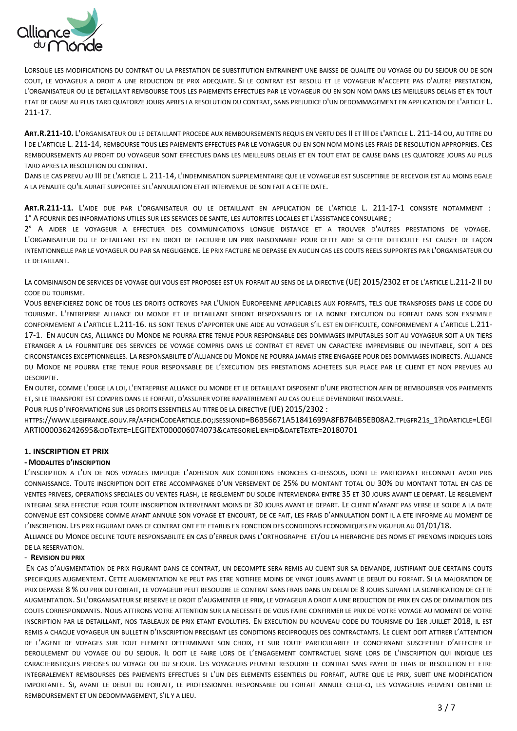

LORSQUE LES MODIFICATIONS DU CONTRAT OU LA PRESTATION DE SUBSTITUTION ENTRAINENT UNE BAISSE DE QUALITE DU VOYAGE OU DU SEJOUR OU DE SON COUT, LE VOYAGEUR A DROIT A UNE REDUCTION DE PRIX ADEQUATE. SI LE CONTRAT EST RESOLU ET LE VOYAGEUR N'ACCEPTE PAS D'AUTRE PRESTATION, L'ORGANISATEUR OU LE DETAILLANT REMBOURSE TOUS LES PAIEMENTS EFFECTUES PAR LE VOYAGEUR OU EN SON NOM DANS LES MEILLEURS DELAIS ET EN TOUT ETAT DE CAUSE AU PLUS TARD QUATORZE JOURS APRES LA RESOLUTION DU CONTRAT, SANS PREJUDICE D'UN DEDOMMAGEMENT EN APPLICATION DE L'ARTICLE L. 211-17.

**ART.R.211-10.** L'ORGANISATEUR OU LE DETAILLANT PROCEDE AUX REMBOURSEMENTS REQUIS EN VERTU DES II ET III DE L'ARTICLE L. 211-14 OU, AU TITRE DU I DE L'ARTICLE L. 211-14, REMBOURSE TOUS LES PAIEMENTS EFFECTUES PAR LE VOYAGEUR OU EN SON NOM MOINS LES FRAIS DE RESOLUTION APPROPRIES. CES REMBOURSEMENTS AU PROFIT DU VOYAGEUR SONT EFFECTUES DANS LES MEILLEURS DELAIS ET EN TOUT ETAT DE CAUSE DANS LES QUATORZE JOURS AU PLUS TARD APRES LA RESOLUTION DU CONTRAT.

DANS LE CAS PREVU AU III DE L'ARTICLE L. 211-14, L'INDEMNISATION SUPPLEMENTAIRE QUE LE VOYAGEUR EST SUSCEPTIBLE DE RECEVOIR EST AU MOINS EGALE A LA PENALITE QU'IL AURAIT SUPPORTEE SI L'ANNULATION ETAIT INTERVENUE DE SON FAIT A CETTE DATE.

**ART.R.211-11.** L'AIDE DUE PAR L'ORGANISATEUR OU LE DETAILLANT EN APPLICATION DE L'ARTICLE L. 211-17-1 CONSISTE NOTAMMENT : 1° A FOURNIR DES INFORMATIONS UTILES SUR LES SERVICES DE SANTE, LES AUTORITES LOCALES ET L'ASSISTANCE CONSULAIRE ;

2° A AIDER LE VOYAGEUR A EFFECTUER DES COMMUNICATIONS LONGUE DISTANCE ET A TROUVER D'AUTRES PRESTATIONS DE VOYAGE. L'ORGANISATEUR OU LE DETAILLANT EST EN DROIT DE FACTURER UN PRIX RAISONNABLE POUR CETTE AIDE SI CETTE DIFFICULTE EST CAUSEE DE FAÇON INTENTIONNELLE PAR LE VOYAGEUR OU PAR SA NEGLIGENCE. LE PRIX FACTURE NE DEPASSE EN AUCUN CAS LES COUTS REELS SUPPORTES PAR L'ORGANISATEUR OU LE DETAILLANT.

LA COMBINAISON DE SERVICES DE VOYAGE QUI VOUS EST PROPOSEE EST UN FORFAIT AU SENS DE LA DIRECTIVE (UE) 2015/2302 ET DE L'ARTICLE L.211-2 II DU CODE DU TOURISME.

VOUS BENEFICIEREZ DONC DE TOUS LES DROITS OCTROYES PAR L'UNION EUROPEENNE APPLICABLES AUX FORFAITS, TELS QUE TRANSPOSES DANS LE CODE DU TOURISME. L'ENTREPRISE ALLIANCE DU MONDE ET LE DETAILLANT SERONT RESPONSABLES DE LA BONNE EXECUTION DU FORFAIT DANS SON ENSEMBLE CONFORMEMENT A L'ARTICLE L.211-16. ILS SONT TENUS D'APPORTER UNE AIDE AU VOYAGEUR S'IL EST EN DIFFICULTE, CONFORMEMENT A L'ARTICLE L.211- 17-1. EN AUCUN CAS, ALLIANCE DU MONDE NE POURRA ETRE TENUE POUR RESPONSABLE DES DOMMAGES IMPUTABLES SOIT AU VOYAGEUR SOIT A UN TIERS ETRANGER A LA FOURNITURE DES SERVICES DE VOYAGE COMPRIS DANS LE CONTRAT ET REVET UN CARACTERE IMPREVISIBLE OU INEVITABLE, SOIT A DES CIRCONSTANCES EXCEPTIONNELLES. LA RESPONSABILITE D'ALLIANCE DU MONDE NE POURRA JAMAIS ETRE ENGAGEE POUR DES DOMMAGES INDIRECTS. ALLIANCE DU MONDE NE POURRA ETRE TENUE POUR RESPONSABLE DE L'EXECUTION DES PRESTATIONS ACHETEES SUR PLACE PAR LE CLIENT ET NON PREVUES AU DESCRIPTIF.

EN OUTRE, COMME L'EXIGE LA LOI, L'ENTREPRISE ALLIANCE DU MONDE ET LE DETAILLANT DISPOSENT D'UNE PROTECTION AFIN DE REMBOURSER VOS PAIEMENTS ET, SI LE TRANSPORT EST COMPRIS DANS LE FORFAIT, D'ASSURER VOTRE RAPATRIEMENT AU CAS OU ELLE DEVIENDRAIT INSOLVABLE.

POUR PLUS D'INFORMATIONS SUR LES DROITS ESSENTIELS AU TITRE DE LA DIRECTIVE (UE) 2015/2302 :

HTTPS://WWW.LEGIFRANCE.GOUV.FR/AFFICHCODEARTICLE.DO;JSESSIONID[=B6B56671A51841699A8FB7B4B5EB08A2.](https://www.legifrance.gouv.fr/affichCodeArticle.do;jsessionid=B6B56671A51841699A8FB7B4B5EB08A2.tplgfr21s_1?idArticle=LEGIARTI000036242695&cidTexte=LEGITEXT000006074073&categorieLien=id&dateTexte=20180701)TPLGFR21S\_1?IDARTICLE=LEGI ARTI000036242695&CIDTEXTE[=LEGITEXT000006074073&](https://www.legifrance.gouv.fr/affichCodeArticle.do;jsessionid=B6B56671A51841699A8FB7B4B5EB08A2.tplgfr21s_1?idArticle=LEGIARTI000036242695&cidTexte=LEGITEXT000006074073&categorieLien=id&dateTexte=20180701)CATEGORIELIEN=ID&DATETEXTE=20180701

# **1. INSCRIPTION ET PRIX**

## **- MODALITES D'INSCRIPTION**

L'INSCRIPTION A L'UN DE NOS VOYAGES IMPLIQUE L'ADHESION AUX CONDITIONS ENONCEES CI-DESSOUS, DONT LE PARTICIPANT RECONNAIT AVOIR PRIS CONNAISSANCE. TOUTE INSCRIPTION DOIT ETRE ACCOMPAGNEE D'UN VERSEMENT DE 25% DU MONTANT TOTAL OU 30% DU MONTANT TOTAL EN CAS DE VENTES PRIVEES, OPERATIONS SPECIALES OU VENTES FLASH, LE REGLEMENT DU SOLDE INTERVIENDRA ENTRE 35 ET 30 JOURS AVANT LE DEPART. LE REGLEMENT INTEGRAL SERA EFFECTUE POUR TOUTE INSCRIPTION INTERVENANT MOINS DE 30 JOURS AVANT LE DEPART. LE CLIENT N'AYANT PAS VERSE LE SOLDE A LA DATE CONVENUE EST CONSIDERE COMME AYANT ANNULE SON VOYAGE ET ENCOURT, DE CE FAIT, LES FRAIS D'ANNULATION DONT IL A ETE INFORME AU MOMENT DE L'INSCRIPTION. LES PRIX FIGURANT DANS CE CONTRAT ONT ETE ETABLIS EN FONCTION DES CONDITIONS ECONOMIQUES EN VIGUEUR AU 01/01/18.

ALLIANCE DU MONDE DECLINE TOUTE RESPONSABILITE EN CAS D'ERREUR DANS L'ORTHOGRAPHE ET/OU LA HIERARCHIE DES NOMS ET PRENOMS INDIQUES LORS DE LA RESERVATION.

## - **REVISION DU PRIX**

EN CAS D'AUGMENTATION DE PRIX FIGURANT DANS CE CONTRAT, UN DECOMPTE SERA REMIS AU CLIENT SUR SA DEMANDE, JUSTIFIANT QUE CERTAINS COUTS SPECIFIQUES AUGMENTENT. CETTE AUGMENTATION NE PEUT PAS ETRE NOTIFIEE MOINS DE VINGT JOURS AVANT LE DEBUT DU FORFAIT. SI LA MAJORATION DE PRIX DEPASSE 8 % DU PRIX DU FORFAIT, LE VOYAGEUR PEUT RESOUDRE LE CONTRAT SANS FRAIS DANS UN DELAI DE 8 JOURS SUIVANT LA SIGNIFICATION DE CETTE AUGMENTATION. SI L'ORGANISATEUR SE RESERVE LE DROIT D'AUGMENTER LE PRIX, LE VOYAGEUR A DROIT A UNE REDUCTION DE PRIX EN CAS DE DIMINUTION DES COUTS CORRESPONDANTS. NOUS ATTIRONS VOTRE ATTENTION SUR LA NECESSITE DE VOUS FAIRE CONFIRMER LE PRIX DE VOTRE VOYAGE AU MOMENT DE VOTRE INSCRIPTION PAR LE DETAILLANT, NOS TABLEAUX DE PRIX ETANT EVOLUTIFS. EN EXECUTION DU NOUVEAU CODE DU TOURISME DU 1ER JUILLET 2018, IL EST REMIS A CHAQUE VOYAGEUR UN BULLETIN D'INSCRIPTION PRECISANT LES CONDITIONS RECIPROQUES DES CONTRACTANTS. LE CLIENT DOIT ATTIRER L'ATTENTION DE L'AGENT DE VOYAGES SUR TOUT ELEMENT DETERMINANT SON CHOIX, ET SUR TOUTE PARTICULARITE LE CONCERNANT SUSCEPTIBLE D'AFFECTER LE DEROULEMENT DU VOYAGE OU DU SEJOUR. IL DOIT LE FAIRE LORS DE L'ENGAGEMENT CONTRACTUEL SIGNE LORS DE L'INSCRIPTION QUI INDIQUE LES CARACTERISTIQUES PRECISES DU VOYAGE OU DU SEJOUR. LES VOYAGEURS PEUVENT RESOUDRE LE CONTRAT SANS PAYER DE FRAIS DE RESOLUTION ET ETRE INTEGRALEMENT REMBOURSES DES PAIEMENTS EFFECTUES SI L'UN DES ELEMENTS ESSENTIELS DU FORFAIT, AUTRE QUE LE PRIX, SUBIT UNE MODIFICATION IMPORTANTE. SI, AVANT LE DEBUT DU FORFAIT, LE PROFESSIONNEL RESPONSABLE DU FORFAIT ANNULE CELUI-CI, LES VOYAGEURS PEUVENT OBTENIR LE REMBOURSEMENT ET UN DEDOMMAGEMENT, S'IL Y A LIEU.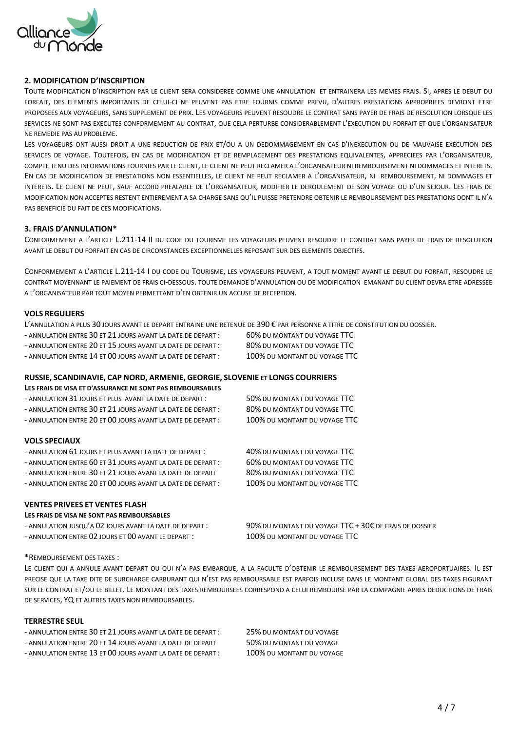

## **2. MODIFICATION D'INSCRIPTION**

TOUTE MODIFICATION D'INSCRIPTION PAR LE CLIENT SERA CONSIDEREE COMME UNE ANNULATION ET ENTRAINERA LES MEMES FRAIS. SI, APRES LE DEBUT DU FORFAIT, DES ELEMENTS IMPORTANTS DE CELUI-CI NE PEUVENT PAS ETRE FOURNIS COMME PREVU, D'AUTRES PRESTATIONS APPROPRIEES DEVRONT ETRE PROPOSEES AUX VOYAGEURS, SANS SUPPLEMENT DE PRIX. LES VOYAGEURS PEUVENT RESOUDRE LE CONTRAT SANS PAYER DE FRAIS DE RESOLUTION LORSQUE LES SERVICES NE SONT PAS EXECUTES CONFORMEMENT AU CONTRAT, QUE CELA PERTURBE CONSIDERABLEMENT L'EXECUTION DU FORFAIT ET QUE L'ORGANISATEUR NE REMEDIE PAS AU PROBLEME.

LES VOYAGEURS ONT AUSSI DROIT A UNE REDUCTION DE PRIX ET/OU A UN DEDOMMAGEMENT EN CAS D'INEXECUTION OU DE MAUVAISE EXECUTION DES SERVICES DE VOYAGE. TOUTEFOIS, EN CAS DE MODIFICATION ET DE REMPLACEMENT DES PRESTATIONS EQUIVALENTES, APPRECIEES PAR L'ORGANISATEUR, COMPTE TENU DES INFORMATIONS FOURNIES PAR LE CLIENT, LE CLIENT NE PEUT RECLAMER A L'ORGANISATEUR NI REMBOURSEMENT NI DOMMAGES ET INTERETS. EN CAS DE MODIFICATION DE PRESTATIONS NON ESSENTIELLES, LE CLIENT NE PEUT RECLAMER A L'ORGANISATEUR, NI REMBOURSEMENT, NI DOMMAGES ET INTERETS. LE CLIENT NE PEUT, SAUF ACCORD PREALABLE DE L'ORGANISATEUR, MODIFIER LE DEROULEMENT DE SON VOYAGE OU D'UN SEJOUR. LES FRAIS DE MODIFICATION NON ACCEPTES RESTENT ENTIEREMENT A SA CHARGE SANS QU'IL PUISSE PRETENDRE OBTENIR LE REMBOURSEMENT DES PRESTATIONS DONT IL N'A PAS BENEFICIE DU FAIT DE CES MODIFICATIONS.

## **3. FRAIS D'ANNULATION\***

CONFORMEMENT A L'ARTICLE L. 211-14 II DU CODE DU TOURISME LES VOYAGEURS PEUVENT RESOUDRE LE CONTRAT SANS PAYER DE FRAIS DE RESOLUTION AVANT LE DEBUT DU FORFAIT EN CAS DE CIRCONSTANCES EXCEPTIONNELLES REPOSANT SUR DES ELEMENTS OBJECTIFS.

CONFORMEMENT A L'ARTICLE L.211-14 I DU CODE DU TOURISME, LES VOYAGEURS PEUVENT, A TOUT MOMENT AVANT LE DEBUT DU FORFAIT, RESOUDRE LE CONTRAT MOYENNANT LE PAIEMENT DE FRAIS CI-DESSOUS. TOUTE DEMANDE D'ANNULATION OU DE MODIFICATION EMANANT DU CLIENT DEVRA ETRE ADRESSEE A L'ORGANISATEUR PAR TOUT MOYEN PERMETTANT D'EN OBTENIR UN ACCUSE DE RECEPTION.

#### **VOLS REGULIERS**

L'ANNULATION A PLUS 30 JOURS AVANT LE DEPART ENTRAINE UNE RETENUE DE 390 € PAR PERSONNE A TITRE DE CONSTITUTION DU DOSSIER.

- ANNULATION ENTRE 30 ET 21 JOURS AVANT LA DATE DE DEPART : 60% DU MONTANT DU VOYAGE TTC
- ANNULATION ENTRE 20 ET 15 JOURS AVANT LA DATE DE DEPART : 80% DU MONTANT DU VOYAGE TTC
- ANNULATION ENTRE 14 ET 00 JOURS AVANT LA DATE DE DEPART : 100% DU MONTANT DU VOYAGE TTC
- 
- -

## **RUSSIE, SCANDINAVIE, CAP NORD, ARMENIE, GEORGIE, SLOVENIE ET LONGS COURRIERS**

| LES FRAIS DE VISA ET D'ASSURANCE NE SONT PAS REMBOURSABLES |  |
|------------------------------------------------------------|--|
|------------------------------------------------------------|--|

| - ANNULATION 31 JOURS ET PLUS AVANT LA DATE DE DEPART :     | 50% DU MONTANT DU VOYAGE TTC     |
|-------------------------------------------------------------|----------------------------------|
| - ANNULATION ENTRE 30 ET 21 JOURS AVANT LA DATE DE DEPART : | 80% DU MONTANT DU VOYAGE TTC     |
| - ANNULATION ENTRE 20 ET 00 JOURS AVANT LA DATE DE DEPART : | 100% DU MONTANT DU VOYAGE TTC    |
| <b>VOLS SPECIAUX</b>                                        |                                  |
| - ANNULATION 61 JOURS ET PLUS AVANT LA DATE DE DEPART :     | 40% DU MONTANT DU VOYAGE TTC     |
| - ANNULATION ENTRE 60 ET 31 JOURS AVANT LA DATE DE DEPART : | 60% DU MONTANT DU VOYAGE TTC     |
| - ANNULATION ENTRE 30 ET 21 JOURS AVANT LA DATE DE DEPART   | 80% DU MONTANT DU VOYAGE TTC     |
| - ANNULATION ENTRE 20 ET 00 JOURS AVANT LA DATE DE DEPART : | 100% DU MONTANT DU VOYAGE TTC    |
| <b>VENTES PRIVEES ET VENTES FLASH</b>                       |                                  |
| LES FRAIS DE VISA NE SONT PAS REMBOURSABLES                 |                                  |
| - ANNULATION JUSOU'A 02 JOURS AVANT LA DATE DE DEPART :     | 90% DU MONTANT DU VOYAGE TTC + 3 |

 $0.02$  de Frais de Dossier - ANNULATION ENTRE 02 JOURS ET 00 AVANT LE DEPART : 100% DU MONTANT DU VOYAGE TTC

#### \*REMBOURSEMENT DES TAXES :

LE CLIENT QUI A ANNULE AVANT DEPART OU QUI N'A PAS EMBARQUE, A LA FACULTE D'OBTENIR LE REMBOURSEMENT DES TAXES AEROPORTUAIRES. IL EST PRECISE QUE LA TAXE DITE DE SURCHARGE CARBURANT QUI N'EST PAS REMBOURSABLE EST PARFOIS INCLUSE DANS LE MONTANT GLOBAL DES TAXES FIGURANT SUR LE CONTRAT ET/OU LE BILLET. LE MONTANT DES TAXES REMBOURSEES CORRESPOND A CELUI REMBOURSE PAR LA COMPAGNIE APRES DEDUCTIONS DE FRAIS DE SERVICES, YQ ET AUTRES TAXES NON REMBOURSABLES.

## **TERRESTRE SEUL**

- ANNULATION ENTRE 30 ET 21 JOURS AVANT LA DATE DE DEPART : 25% DU MONTANT DU VOYAGE
- ANNULATION ENTRE 20 ET 14 JOURS AVANT LA DATE DE DEPART 50% DU MONTANT DU VOYAGE
- ANNULATION ENTRE 13 ET 00 JOURS AVANT LA DATE DE DEPART : 100% DU MONTANT DU VOYAGE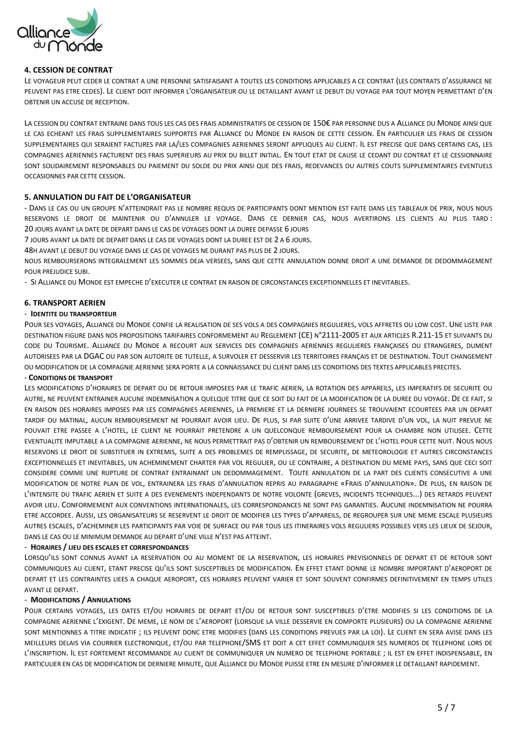

## **4. CESSION DE CONTRAT**

LE VOYAGEUR PEUT CEDER LE CONTRAT A UNE PERSONNE SATISFAISANT A TOUTES LES CONDITIONS APPLICABLES A CE CONTRAT (LES CONTRATS D'ASSURANCE NE PEUVENT PAS ETRE CEDES). LE CLIENT DOIT INFORMER L'ORGANISATEUR OU LE DETAILLANT AVANT LE DEBUT DU VOYAGE PAR TOUT MOYEN PERMETTANT D'EN OBTENIR UN ACCUSE DE RECEPTION.

LA CESSION DU CONTRAT ENTRAINE DANS TOUS LES CAS DES FRAIS ADMINISTRATIFS DE CESSION DE 150€ PAR PERSONNE DUS A ALLIANCE DU MONDE AINSI QUE LE CAS ECHEANT LES FRAIS SUPPLEMENTAIRES SUPPORTES PAR ALLIANCE DU MONDE EN RAISON DE CETTE CESSION. EN PARTICULIER LES FRAIS DE CESSION SUPPLEMENTAIRES QUI SERAIENT FACTURES PAR LA/LES COMPAGNIES AERIENNES SERONT APPLIQUES AU CLIENT. IL EST PRECISE QUE DANS CERTAINS CAS, LES COMPAGNIES AERIENNES FACTURENT DES FRAIS SUPERIEURS AU PRIX DU BILLET INITIAL. EN TOUT ETAT DE CAUSE LE CEDANT DU CONTRAT ET LE CESSIONNAIRE SONT SOLIDAIREMENT RESPONSABLES DU PAIEMENT DU SOLDE DU PRIX AINSI QUE DES FRAIS, REDEVANCES OU AUTRES COUTS SUPPLEMENTAIRES EVENTUELS OCCASIONNES PAR CETTE CESSION.

## **5. ANNULATION DU FAIT DE L'ORGANISATEUR**

- DANS LE CAS OU UN GROUPE N'ATTEINDRAIT PAS LE NOMBRE REQUIS DE PARTICIPANTS DONT MENTION EST FAITE DANS LES TABLEAUX DE PRIX, NOUS NOUS RESERVONS LE DROIT DE MAINTENIR OU D'ANNULER LE VOYAGE. DANS CE DERNIER CAS, NOUS AVERTIRONS LES CLIENTS AU PLUS TARD : 20 JOURS AVANT LA DATE DE DEPART DANS LE CAS DE VOYAGES DONT LA DUREE DEPASSE 6 JOURS

7 JOURS AVANT LA DATE DE DEPART DANS LE CAS DE VOYAGES DONT LA DUREE EST DE 2 A 6 JOURS.

48H AVANT LE DEBUT DU VOYAGE DANS LE CAS DE VOYAGES NE DURANT PAS PLUS DE 2 JOURS.

NOUS REMBOURSERONS INTEGRALEMENT LES SOMMES DEJA VERSEES, SANS QUE CETTE ANNULATION DONNE DROIT A UNE DEMANDE DE DEDOMMAGEMENT POUR PREJUDICE SUBI

- SI ALLIANCE DU MONDE EST EMPECHE D'EXECUTER LE CONTRAT EN RAISON DE CIRCONSTANCES EXCEPTIONNELLES ET INEVITABLES.

#### **6. TRANSPORT AERIEN**

#### - **IDENTITE DU TRANSPORTEUR**

POUR SES VOYAGES, ALLIANCE DU MONDE CONFIE LA REALISATION DE SES VOLS A DES COMPAGNIES REGULIERES, VOLS AFFRETES OU LOW COST. UNE LISTE PAR DESTINATION FIGURE DANS NOS PROPOSITIONS TARIFAIRES CONFORMEMENT AU REGLEMENT (CE) N°2111-2005 ET AUX ARTICLES R.211-15 ET SUIVANTS DU CODE DU TOURISME. ALLIANCE DU MONDE A RECOURT AUX SERVICES DES COMPAGNIES AERIENNES REGULIERES FRANÇAISES OU ETRANGERES, DUMENT AUTORISEES PAR LA DGAC OU PAR SON AUTORITE DE TUTELLE, A SURVOLER ET DESSERVIR LES TERRITOIRES FRANÇAIS ET DE DESTINATION. TOUT CHANGEMENT OU MODIFICATION DE LA COMPAGNIE AERIENNE SERA PORTE A LA CONNAISSANCE DU CLIENT DANS LES CONDITIONS DES TEXTES APPLICABLES PRECITES.

#### - **CONDITIONS DE TRANSPORT**

LES MODIFICATIONS D'HORAIRES DE DEPART OU DE RETOUR IMPOSEES PAR LE TRAFIC AERIEN, LA ROTATION DES APPAREILS, LES IMPERATIFS DE SECURITE OU AUTRE, NE PEUVENT ENTRAINER AUCUNE INDEMNISATION A QUELQUE TITRE QUE CE SOIT DU FAIT DE LA MODIFICATION DE LA DUREE DU VOYAGE. DE CE FAIT, SI EN RAISON DES HORAIRES IMPOSES PAR LES COMPAGNIES AERIENNES, LA PREMIERE ET LA DERNIERE JOURNEES SE TROUVAIENT ECOURTEES PAR UN DEPART TARDIF OU MATINAL, AUCUN REMBOURSEMENT NE POURRAIT AVOIR LIEU. DE PLUS, SI PAR SUITE D'UNE ARRIVEE TARDIVE D'UN VOL, LA NUIT PREVUE NE POUVAIT ETRE PASSEE A L'HOTEL, LE CLIENT NE POURRAIT PRETENDRE A UN QUELCONQUE REMBOURSEMENT POUR LA CHAMBRE NON UTILISEE. CETTE EVENTUALITE IMPUTABLE A LA COMPAGNIE AERIENNE, NE NOUS PERMETTRAIT PAS D'OBTENIR UN REMBOURSEMENT DE L'HOTEL POUR CETTE NUIT. NOUS NOUS RESERVONS LE DROIT DE SUBSTITUER IN EXTREMIS, SUITE A DES PROBLEMES DE REMPLISSAGE, DE SECURITE, DE METEOROLOGIE ET AUTRES CIRCONSTANCES EXCEPTIONNELLES ET INEVITABLES, UN ACHEMINEMENT CHARTER PAR VOL REGULIER, OU LE CONTRAIRE, A DESTINATION DU MEME PAYS, SANS QUE CECI SOIT CONSIDERE COMME UNE RUPTURE DE CONTRAT ENTRAINANT UN DEDOMMAGEMENT. TOUTE ANNULATION DE LA PART DES CLIENTS CONSECUTIVE A UNE MODIFICATION DE NOTRE PLAN DE VOL, ENTRAINERA LES FRAIS D'ANNULATION REPRIS AU PARAGRAPHE «FRAIS D'ANNULATION». DE PLUS, EN RAISON DE L'INTENSITE DU TRAFIC AERIEN ET SUITE A DES EVENEMENTS INDEPENDANTS DE NOTRE VOLONTE (GREVES, INCIDENTS TECHNIQUES...) DES RETARDS PEUVENT AVOIR LIEU. CONFORMEMENT AUX CONVENTIONS INTERNATIONALES, LES CORRESPONDANCES NE SONT PAS GARANTIES. AUCUNE INDEMNISATION NE POURRA ETRE ACCORDEE. AUSSI, LES ORGANISATEURS SE RESERVENT LE DROIT DE MODIFIER LES TYPES D'APPAREILS, DE REGROUPER SUR UNE MEME ESCALE PLUSIEURS AUTRES ESCALES, D'ACHEMINER LES PARTICIPANTS PAR VOIE DE SURFACE OU PAR TOUS LES ITINERAIRES VOLS REGULIERS POSSIBLES VERS LES LIEUX DE SEJOUR, DANS LE CAS OU LE MINIMUM DEMANDE AU DEPART D'UNE VILLE N'EST PAS ATTEINT.

#### - **HORAIRES / LIEU DES ESCALES ET CORRESPONDANCES**

LORSQU'ILS SONT CONNUS AVANT LA RESERVATION OU AU MOMENT DE LA RESERVATION, LES HORAIRES PREVISIONNELS DE DEPART ET DE RETOUR SONT COMMUNIQUES AU CLIENT, ETANT PRECISE QU'ILS SONT SUSCEPTIBLES DE MODIFICATION. EN EFFET ETANT DONNE LE NOMBRE IMPORTANT D'AEROPORT DE DEPART ET LES CONTRAINTES LIEES A CHAQUE AEROPORT, CES HORAIRES PEUVENT VARIER ET SONT SOUVENT CONFIRMES DEFINITIVEMENT EN TEMPS UTILES AVANT LE DEPART.

#### - **MODIFICATIONS / ANNULATIONS**

POUR CERTAINS VOYAGES, LES DATES ET/OU HORAIRES DE DEPART ET/OU DE RETOUR SONT SUSCEPTIBLES D'ETRE MODIFIES SI LES CONDITIONS DE LA COMPAGNIE AERIENNE L'EXIGENT. DE MEME, LE NOM DE L'AEROPORT (LORSQUE LA VILLE DESSERVIE EN COMPORTE PLUSIEURS) OU LA COMPAGNIE AERIENNE SONT MENTIONNES A TITRE INDICATIF ; ILS PEUVENT DONC ETRE MODIFIES (DANS LES CONDITIONS PREVUES PAR LA LOI). LE CLIENT EN SERA AVISE DANS LES MEILLEURS DELAIS VIA COURRIER ELECTRONIQUE, ET/OU PAR TELEPHONE/SMS ET DOIT A CET EFFET COMMUNIQUER SES NUMEROS DE TELEPHONE LORS DE L'INSCRIPTION. IL EST FORTEMENT RECOMMANDE AU CLIENT DE COMMUNIQUER UN NUMERO DE TELEPHONE PORTABLE ; IL EST EN EFFET INDISPENSABLE, EN PARTICULIER EN CAS DE MODIFICATION DE DERNIERE MINUTE, QUE ALLIANCE DU MONDE PUISSE ETRE EN MESURE D'INFORMER LE DETAILLANT RAPIDEMENT.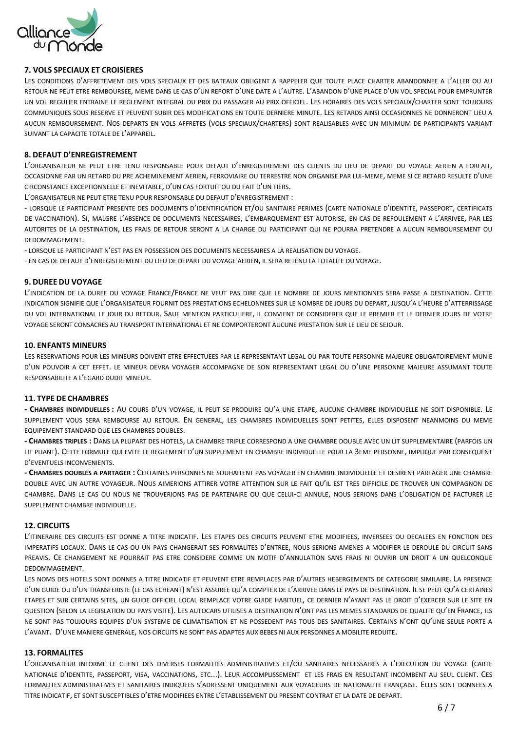

## **7. VOLS SPECIAUX ET CROISIERES**

LES CONDITIONS D'AFFRETEMENT DES VOLS SPECIAUX ET DES BATEAUX OBLIGENT A RAPPELER QUE TOUTE PLACE CHARTER ABANDONNEE A L'ALLER OU AU RETOUR NE PEUT ETRE REMBOURSEE, MEME DANS LE CAS D'UN REPORT D'UNE DATE A L'AUTRE. L'ABANDON D'UNE PLACE D'UN VOL SPECIAL POUR EMPRUNTER UN VOL REGULIER ENTRAINE LE REGLEMENT INTEGRAL DU PRIX DU PASSAGER AU PRIX OFFICIEL. LES HORAIRES DES VOLS SPECIAUX/CHARTER SONT TOUJOURS COMMUNIQUES SOUS RESERVE ET PEUVENT SUBIR DES MODIFICATIONS EN TOUTE DERNIERE MINUTE. LES RETARDS AINSI OCCASIONNES NE DONNERONT LIEU A AUCUN REMBOURSEMENT. NOS DEPARTS EN VOLS AFFRETES (VOLS SPECIAUX/CHARTERS) SONT REALISABLES AVEC UN MINIMUM DE PARTICIPANTS VARIANT SUIVANT LA CAPACITE TOTALE DE L'APPAREIL.

## **8. DEFAUT D'ENREGISTREMENT**

L'ORGANISATEUR NE PEUT ETRE TENU RESPONSABLE POUR DEFAUT D'ENREGISTREMENT DES CLIENTS DU LIEU DE DEPART DU VOYAGE AERIEN A FORFAIT, OCCASIONNE PAR UN RETARD DU PRE ACHEMINEMENT AERIEN, FERROVIAIRE OU TERRESTRE NON ORGANISE PAR LUI-MEME, MEME SI CE RETARD RESULTE D'UNE CIRCONSTANCE EXCEPTIONNELLE ET INEVITABLE, D'UN CAS FORTUIT OU DU FAIT D'UN TIERS.

L'ORGANISATEUR NE PEUT ETRE TENU POUR RESPONSABLE DU DEFAUT D'ENREGISTREMENT :

- LORSQUE LE PARTICIPANT PRESENTE DES DOCUMENTS D'IDENTIFICATION ET/OU SANITAIRE PERIMES (CARTE NATIONALE D'IDENTITE, PASSEPORT, CERTIFICATS DE VACCINATION). SI, MALGRE L'ABSENCE DE DOCUMENTS NECESSAIRES, L'EMBARQUEMENT EST AUTORISE, EN CAS DE REFOULEMENT A L'ARRIVEE, PAR LES AUTORITES DE LA DESTINATION, LES FRAIS DE RETOUR SERONT A LA CHARGE DU PARTICIPANT QUI NE POURRA PRETENDRE A AUCUN REMBOURSEMENT OU **DEDOMMAGEMENT** 

- LORSQUE LE PARTICIPANT N'EST PAS EN POSSESSION DES DOCUMENTS NECESSAIRES A LA REALISATION DU VOYAGE.

- EN CAS DE DEFAUT D'ENREGISTREMENT DU LIEU DE DEPART DU VOYAGE AERIEN, IL SERA RETENU LA TOTALITE DU VOYAGE.

## **9. DUREE DU VOYAGE**

L'INDICATION DE LA DUREE DU VOYAGE FRANCE/FRANCE NE VEUT PAS DIRE QUE LE NOMBRE DE JOURS MENTIONNES SERA PASSE A DESTINATION. CETTE INDICATION SIGNIFIE QUE L'ORGANISATEUR FOURNIT DES PRESTATIONS ECHELONNEES SUR LE NOMBRE DE JOURS DU DEPART, JUSQU'A L'HEURE D'ATTERRISSAGE DU VOL INTERNATIONAL LE JOUR DU RETOUR. SAUF MENTION PARTICULIERE, IL CONVIENT DE CONSIDERER QUE LE PREMIER ET LE DERNIER JOURS DE VOTRE VOYAGE SERONT CONSACRES AU TRANSPORT INTERNATIONAL ET NE COMPORTERONT AUCUNE PRESTATION SUR LE LIEU DE SEJOUR.

## **10. ENFANTS MINEURS**

LES RESERVATIONS POUR LES MINEURS DOIVENT ETRE EFFECTUEES PAR LE REPRESENTANT LEGAL OU PAR TOUTE PERSONNE MAJEURE OBLIGATOIREMENT MUNIE D'UN POUVOIR A CET EFFET. LE MINEUR DEVRA VOYAGER ACCOMPAGNE DE SON REPRESENTANT LEGAL OU D'UNE PERSONNE MAJEURE ASSUMANT TOUTE RESPONSABILITE A L'EGARD DUDIT MINEUR.

## **11. TYPE DE CHAMBRES**

**- CHAMBRES INDIVIDUELLES :** AU COURS D'UN VOYAGE, IL PEUT SE PRODUIRE QU'A UNE ETAPE, AUCUNE CHAMBRE INDIVIDUELLE NE SOIT DISPONIBLE. LE SUPPLEMENT VOUS SERA REMBOURSE AU RETOUR. EN GENERAL, LES CHAMBRES INDIVIDUELLES SONT PETITES, ELLES DISPOSENT NEANMOINS DU MEME EQUIPEMENT STANDARD QUE LES CHAMBRES DOUBLES.

**- CHAMBRES TRIPLES :** DANS LA PLUPART DES HOTELS, LA CHAMBRE TRIPLE CORRESPOND A UNE CHAMBRE DOUBLE AVEC UN LIT SUPPLEMENTAIRE (PARFOIS UN LIT PLIANT). CETTE FORMULE QUI EVITE LE REGLEMENT D'UN SUPPLEMENT EN CHAMBRE INDIVIDUELLE POUR LA 3EME PERSONNE, IMPLIQUE PAR CONSEQUENT D'EVENTUELS INCONVENIENTS.

**- CHAMBRES DOUBLES A PARTAGER :** CERTAINES PERSONNES NE SOUHAITENT PAS VOYAGER EN CHAMBRE INDIVIDUELLE ET DESIRENT PARTAGER UNE CHAMBRE DOUBLE AVEC UN AUTRE VOYAGEUR. NOUS AIMERIONS ATTIRER VOTRE ATTENTION SUR LE FAIT QU'IL EST TRES DIFFICILE DE TROUVER UN COMPAGNON DE CHAMBRE. DANS LE CAS OU NOUS NE TROUVERIONS PAS DE PARTENAIRE OU QUE CELUI-CI ANNULE, NOUS SERIONS DANS L'OBLIGATION DE FACTURER LE SUPPLEMENT CHAMBRE INDIVIDUELLE

## **12. CIRCUITS**

L'ITINERAIRE DES CIRCUITS EST DONNE A TITRE INDICATIF. LES ETAPES DES CIRCUITS PEUVENT ETRE MODIFIEES, INVERSEES OU DECALEES EN FONCTION DES IMPERATIFS LOCAUX. DANS LE CAS OU UN PAYS CHANGERAIT SES FORMALITES D'ENTREE, NOUS SERIONS AMENES A MODIFIER LE DEROULE DU CIRCUIT SANS PREAVIS. CE CHANGEMENT NE POURRAIT PAS ETRE CONSIDERE COMME UN MOTIF D'ANNULATION SANS FRAIS NI OUVRIR UN DROIT A UN QUELCONQUE DEDOMMAGEMENT.

LES NOMS DES HOTELS SONT DONNES A TITRE INDICATIF ET PEUVENT ETRE REMPLACES PAR D'AUTRES HEBERGEMENTS DE CATEGORIE SIMILAIRE. LA PRESENCE D'UN GUIDE OU D'UN TRANSFERISTE (LE CAS ECHEANT) N'EST ASSUREE QU'A COMPTER DE L'ARRIVEE DANS LE PAYS DE DESTINATION. IL SE PEUT QU'A CERTAINES ETAPES ET SUR CERTAINS SITES, UN GUIDE OFFICIEL LOCAL REMPLACE VOTRE GUIDE HABITUEL, CE DERNIER N'AYANT PAS LE DROIT D'EXERCER SUR LE SITE EN QUESTION (SELON LA LEGISLATION DU PAYS VISITE). LES AUTOCARS UTILISES A DESTINATION N'ONT PAS LES MEMES STANDARDS DE QUALITE QU'EN FRANCE, ILS NE SONT PAS TOUJOURS EQUIPES D'UN SYSTEME DE CLIMATISATION ET NE POSSEDENT PAS TOUS DES SANITAIRES. CERTAINS N'ONT QU'UNE SEULE PORTE A L'AVANT. D'UNE MANIERE GENERALE, NOS CIRCUITS NE SONT PAS ADAPTES AUX BEBES NI AUX PERSONNES A MOBILITE REDUITE.

## **13. FORMALITES**

L'ORGANISATEUR INFORME LE CLIENT DES DIVERSES FORMALITES ADMINISTRATIVES ET/OU SANITAIRES NECESSAIRES A L'EXECUTION DU VOYAGE (CARTE NATIONALE D'IDENTITE, PASSEPORT, VISA, VACCINATIONS, ETC...). LEUR ACCOMPLISSEMENT ET LES FRAIS EN RESULTANT INCOMBENT AU SEUL CLIENT. CES FORMALITES ADMINISTRATIVES ET SANITAIRES INDIQUEES S'ADRESSENT UNIQUEMENT AUX VOYAGEURS DE NATIONALITE FRANÇAISE. ELLES SONT DONNEES A TITRE INDICATIF, ET SONT SUSCEPTIBLES D'ETRE MODIFIEES ENTRE L'ETABLISSEMENT DU PRESENT CONTRAT ET LA DATE DE DEPART.